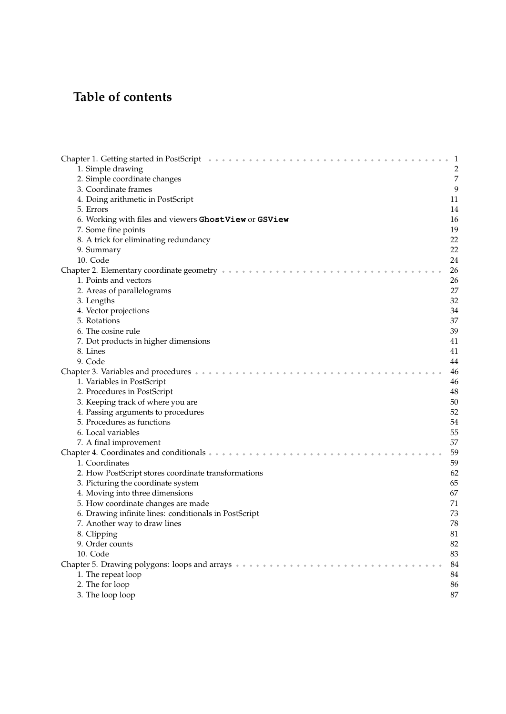## Table of contents

| Chapter 1. Getting started in PostScript (a) and a series and a series and a series of the series of the series<br>-1 |
|-----------------------------------------------------------------------------------------------------------------------|
| 1. Simple drawing<br>$\overline{c}$                                                                                   |
| 7<br>2. Simple coordinate changes                                                                                     |
| 9<br>3. Coordinate frames                                                                                             |
| 4. Doing arithmetic in PostScript<br>11                                                                               |
| 14<br>5. Errors                                                                                                       |
| 16<br>6. Working with files and viewers GhostView or GSView                                                           |
| 19<br>7. Some fine points                                                                                             |
| 8. A trick for eliminating redundancy<br>22                                                                           |
| 22<br>9. Summary                                                                                                      |
| 10. Code<br>24                                                                                                        |
| 26                                                                                                                    |
| 1. Points and vectors<br>26                                                                                           |
| 27<br>2. Areas of parallelograms                                                                                      |
| 32<br>3. Lengths                                                                                                      |
| 4. Vector projections<br>34                                                                                           |
| 37<br>5. Rotations                                                                                                    |
| 39<br>6. The cosine rule                                                                                              |
| 7. Dot products in higher dimensions<br>41                                                                            |
| 41<br>8. Lines                                                                                                        |
| 9. Code<br>44                                                                                                         |
| 46                                                                                                                    |
|                                                                                                                       |
| 1. Variables in PostScript<br>46                                                                                      |
| 2. Procedures in PostScript<br>48                                                                                     |
| 3. Keeping track of where you are<br>50                                                                               |
| 52<br>4. Passing arguments to procedures                                                                              |
| 5. Procedures as functions<br>54                                                                                      |
| 6. Local variables<br>55                                                                                              |
| 57<br>7. A final improvement                                                                                          |
| 59<br>Chapter 4. Coordinates and conditionals $\cdots$                                                                |
| 59<br>1. Coordinates                                                                                                  |
| 62<br>2. How PostScript stores coordinate transformations                                                             |
| 3. Picturing the coordinate system<br>65                                                                              |
| 4. Moving into three dimensions<br>67                                                                                 |
| 5. How coordinate changes are made<br>71                                                                              |
| 73<br>6. Drawing infinite lines: conditionals in PostScript                                                           |
| 78<br>7. Another way to draw lines                                                                                    |
| 8. Clipping<br>81                                                                                                     |
| 9. Order counts<br>82                                                                                                 |
| 10. Code<br>83                                                                                                        |
| 84                                                                                                                    |
| 1. The repeat loop<br>84                                                                                              |
| 2. The for loop<br>86                                                                                                 |
| 87<br>3. The loop loop                                                                                                |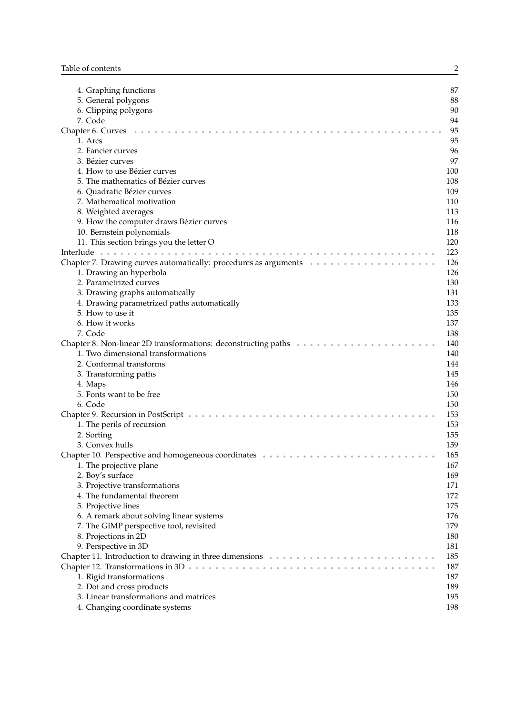| 4. Graphing functions                                                                                           | 87  |
|-----------------------------------------------------------------------------------------------------------------|-----|
| 5. General polygons                                                                                             | 88  |
| 6. Clipping polygons                                                                                            | 90  |
| 7. Code                                                                                                         | 94  |
| Chapter 6. Curves                                                                                               | 95  |
| 1. Arcs                                                                                                         | 95  |
| 2. Fancier curves                                                                                               | 96  |
| 3. Bézier curves                                                                                                | 97  |
| 4. How to use Bézier curves                                                                                     | 100 |
| 5. The mathematics of Bézier curves                                                                             | 108 |
| 6. Quadratic Bézier curves                                                                                      | 109 |
| 7. Mathematical motivation                                                                                      | 110 |
| 8. Weighted averages                                                                                            | 113 |
| 9. How the computer draws Bézier curves                                                                         | 116 |
| 10. Bernstein polynomials                                                                                       | 118 |
| 11. This section brings you the letter O                                                                        | 120 |
|                                                                                                                 | 123 |
| Chapter 7. Drawing curves automatically: procedures as arguments $\cdots$                                       | 126 |
| 1. Drawing an hyperbola                                                                                         | 126 |
| 2. Parametrized curves                                                                                          | 130 |
| 3. Drawing graphs automatically                                                                                 | 131 |
|                                                                                                                 | 133 |
| 4. Drawing parametrized paths automatically                                                                     |     |
| 5. How to use it                                                                                                | 135 |
| 6. How it works                                                                                                 | 137 |
| 7. Code                                                                                                         | 138 |
| Chapter 8. Non-linear 2D transformations: deconstructing paths were even in the even in the even in the Chapter | 140 |
| 1. Two dimensional transformations                                                                              | 140 |
| 2. Conformal transforms                                                                                         | 144 |
| 3. Transforming paths                                                                                           | 145 |
| 4. Maps                                                                                                         | 146 |
| 5. Fonts want to be free                                                                                        | 150 |
| 6. Code                                                                                                         | 150 |
| Chapter 9. Recursion in PostScript *******************************                                              | 153 |
| 1. The perils of recursion                                                                                      | 153 |
| 2. Sorting                                                                                                      | 155 |
| 3. Convex hulls                                                                                                 | 159 |
| Chapter 10. Perspective and homogeneous coordinates *********************                                       | 165 |
| 1. The projective plane                                                                                         | 167 |
| 2. Boy's surface                                                                                                | 169 |
| 3. Projective transformations                                                                                   | 171 |
| 4. The fundamental theorem                                                                                      | 172 |
| 5. Projective lines                                                                                             | 175 |
| 6. A remark about solving linear systems                                                                        | 176 |
| 7. The GIMP perspective tool, revisited                                                                         | 179 |
| 8. Projections in 2D                                                                                            | 180 |
| 9. Perspective in 3D                                                                                            | 181 |
|                                                                                                                 | 185 |
|                                                                                                                 | 187 |
| 1. Rigid transformations                                                                                        | 187 |
| 2. Dot and cross products                                                                                       | 189 |
| 3. Linear transformations and matrices                                                                          | 195 |
| 4. Changing coordinate systems                                                                                  | 198 |

2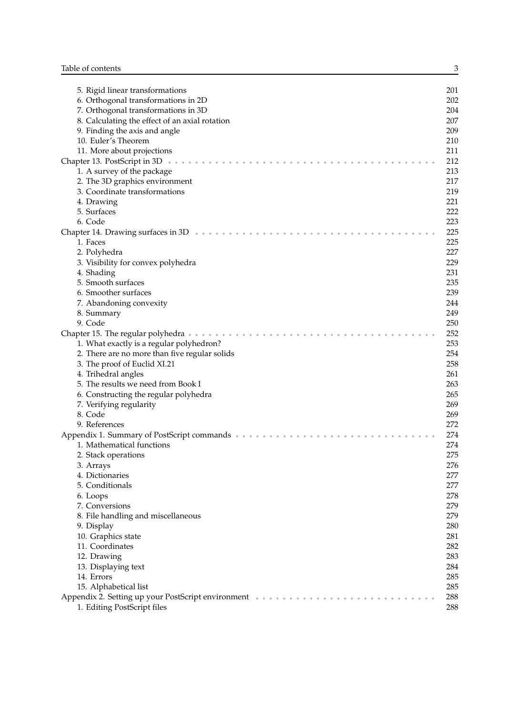| 5. Rigid linear transformations                                                | 201 |
|--------------------------------------------------------------------------------|-----|
| 6. Orthogonal transformations in 2D                                            | 202 |
| 7. Orthogonal transformations in 3D                                            | 204 |
| 8. Calculating the effect of an axial rotation                                 | 207 |
|                                                                                | 209 |
| 9. Finding the axis and angle                                                  |     |
| 10. Euler's Theorem                                                            | 210 |
| 11. More about projections                                                     | 211 |
| Chapter 13. PostScript in 3D                                                   | 212 |
| 1. A survey of the package                                                     | 213 |
| 2. The 3D graphics environment                                                 | 217 |
| 3. Coordinate transformations                                                  | 219 |
| 4. Drawing                                                                     | 221 |
| 5. Surfaces                                                                    | 222 |
| 6. Code                                                                        | 223 |
| Chapter 14. Drawing surfaces in $3D + \cdots + \cdots + \cdots$                | 225 |
| 1. Faces                                                                       | 225 |
| 2. Polyhedra                                                                   | 227 |
| 3. Visibility for convex polyhedra                                             | 229 |
| 4. Shading                                                                     | 231 |
| 5. Smooth surfaces                                                             | 235 |
| 6. Smoother surfaces                                                           | 239 |
|                                                                                | 244 |
| 7. Abandoning convexity                                                        |     |
| 8. Summary                                                                     | 249 |
| 9. Code                                                                        | 250 |
| Chapter 15. The regular polyhedra $\cdots$ $\cdots$ $\cdots$ $\cdots$ $\cdots$ | 252 |
| 1. What exactly is a regular polyhedron?                                       | 253 |
| 2. There are no more than five regular solids                                  | 254 |
| 3. The proof of Euclid XI.21                                                   | 258 |
| 4. Trihedral angles                                                            | 261 |
| 5. The results we need from Book I                                             | 263 |
| 6. Constructing the regular polyhedra                                          | 265 |
| 7. Verifying regularity                                                        | 269 |
| 8. Code                                                                        | 269 |
| 9. References                                                                  | 272 |
| Appendix 1. Summary of PostScript commands *********                           | 274 |
| 1. Mathematical functions                                                      | 274 |
| 2. Stack operations                                                            | 275 |
| 3. Arrays                                                                      | 276 |
| 4. Dictionaries                                                                | 277 |
| 5. Conditionals                                                                | 277 |
| 6. Loops                                                                       | 278 |
| 7. Conversions                                                                 | 279 |
| 8. File handling and miscellaneous                                             | 279 |
|                                                                                | 280 |
| 9. Display                                                                     |     |
| 10. Graphics state                                                             | 281 |
| 11. Coordinates                                                                | 282 |
| 12. Drawing                                                                    | 283 |
| 13. Displaying text                                                            | 284 |
| 14. Errors                                                                     | 285 |
| 15. Alphabetical list                                                          | 285 |
| Appendix 2. Setting up your PostScript environment ********                    | 288 |
| 1. Editing PostScript files                                                    | 288 |

3